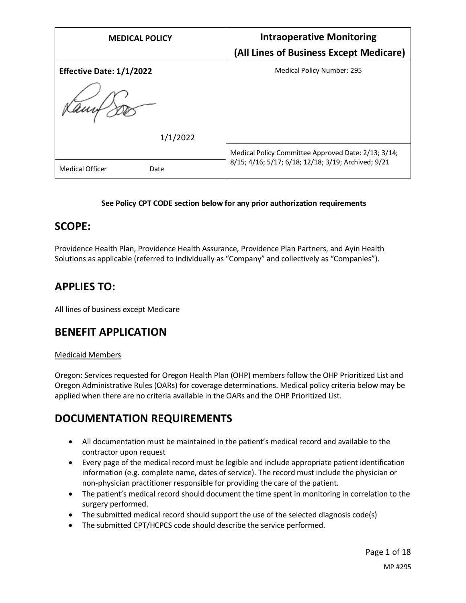| <b>MEDICAL POLICY</b>           | <b>Intraoperative Monitoring</b><br>(All Lines of Business Except Medicare) |
|---------------------------------|-----------------------------------------------------------------------------|
| <b>Effective Date: 1/1/2022</b> | <b>Medical Policy Number: 295</b>                                           |
| 1/1/2022                        | Medical Policy Committee Approved Date: 2/13; 3/14;                         |
| <b>Medical Officer</b><br>Date  | 8/15; 4/16; 5/17; 6/18; 12/18; 3/19; Archived; 9/21                         |

### **See Policy CPT CODE section below for any prior authorization requirements**

### **SCOPE:**

Providence Health Plan, Providence Health Assurance, Providence Plan Partners, and Ayin Health Solutions as applicable (referred to individually as "Company" and collectively as "Companies").

# **APPLIES TO:**

All lines of business except Medicare

# **BENEFIT APPLICATION**

#### Medicaid Members

Oregon: Services requested for Oregon Health Plan (OHP) members follow the OHP Prioritized List and Oregon Administrative Rules (OARs) for coverage determinations. Medical policy criteria below may be applied when there are no criteria available in the OARs and the OHP Prioritized List.

# **DOCUMENTATION REQUIREMENTS**

- All documentation must be maintained in the patient's medical record and available to the contractor upon request
- Every page of the medical record must be legible and include appropriate patient identification information (e.g. complete name, dates of service). The record must include the physician or non-physician practitioner responsible for providing the care of the patient.
- The patient's medical record should document the time spent in monitoring in correlation to the surgery performed.
- The submitted medical record should support the use of the selected diagnosis code(s)
- The submitted CPT/HCPCS code should describe the service performed.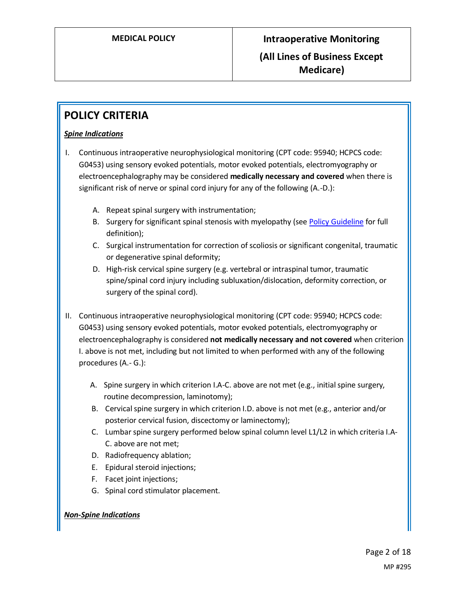# **POLICY CRITERIA**

### *Spine Indications*

- I. Continuous intraoperative neurophysiological monitoring (CPT code: 95940; HCPCS code: G0453) using sensory evoked potentials, motor evoked potentials, electromyography or electroencephalography may be considered **medically necessary and covered** when there is significant risk of nerve or spinal cord injury for any of the following (A.-D.):
	- A. Repeat spinal surgery with instrumentation;
	- B. Surgery for significant spinal stenosis with myelopathy (see [Policy Guideline](#page-2-0) for full definition);
	- C. Surgical instrumentation for correction of scoliosis or significant congenital, traumatic or degenerative spinal deformity;
	- D. High-risk cervical spine surgery (e.g. vertebral or intraspinal tumor, traumatic spine/spinal cord injury including subluxation/dislocation, deformity correction, or surgery of the spinal cord).
- II. Continuous intraoperative neurophysiological monitoring (CPT code: 95940; HCPCS code: G0453) using sensory evoked potentials, motor evoked potentials, electromyography or electroencephalography is considered **not medically necessary and not covered** when criterion I. above is not met, including but not limited to when performed with any of the following procedures (A.- G.):
	- A. Spine surgery in which criterion I.A-C. above are not met (e.g., initial spine surgery, routine decompression, laminotomy);
	- B. Cervical spine surgery in which criterion I.D. above is not met (e.g., anterior and/or posterior cervical fusion, discectomy or laminectomy);
	- C. Lumbar spine surgery performed below spinal column level L1/L2 in which criteria I.A-C. above are not met;
	- D. Radiofrequency ablation;
	- E. Epidural steroid injections;
	- F. Facet joint injections;
	- G. Spinal cord stimulator placement.

### *Non-Spine Indications*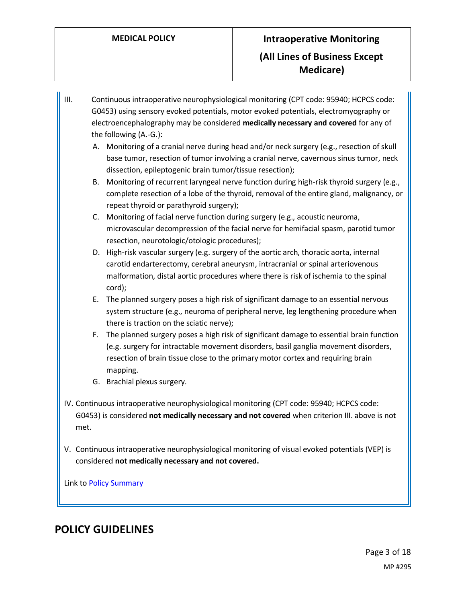- III. Continuous intraoperative neurophysiological monitoring (CPT code: 95940; HCPCS code: G0453) using sensory evoked potentials, motor evoked potentials, electromyography or electroencephalography may be considered **medically necessary and covered** for any of the following (A.-G.):
	- A. Monitoring of a cranial nerve during head and/or neck surgery (e.g., resection of skull base tumor, resection of tumor involving a cranial nerve, cavernous sinus tumor, neck dissection, epileptogenic brain tumor/tissue resection);
	- B. Monitoring of recurrent laryngeal nerve function during high-risk thyroid surgery (e.g., complete resection of a lobe of the thyroid, removal of the entire gland, malignancy, or repeat thyroid or parathyroid surgery);
	- C. Monitoring of facial nerve function during surgery (e.g., acoustic neuroma, microvascular decompression of the facial nerve for hemifacial spasm, parotid tumor resection, neurotologic/otologic procedures);
	- D. High-risk vascular surgery (e.g. surgery of the aortic arch, thoracic aorta, internal carotid endarterectomy, cerebral aneurysm, intracranial or spinal arteriovenous malformation, distal aortic procedures where there is risk of ischemia to the spinal cord);
	- E. The planned surgery poses a high risk of significant damage to an essential nervous system structure (e.g., neuroma of peripheral nerve, leg lengthening procedure when there is traction on the sciatic nerve);
	- F. The planned surgery poses a high risk of significant damage to essential brain function (e.g. surgery for intractable movement disorders, basil ganglia movement disorders, resection of brain tissue close to the primary motor cortex and requiring brain mapping.
	- G. Brachial plexus surgery.
- IV. Continuous intraoperative neurophysiological monitoring (CPT code: 95940; HCPCS code: G0453) is considered **not medically necessary and not covered** when criterion III. above is not met.
- V. Continuous intraoperative neurophysiological monitoring of visual evoked potentials (VEP) is considered **not medically necessary and not covered.**

Link t[o Policy Summary](#page-9-0)

# <span id="page-2-0"></span>**POLICY GUIDELINES**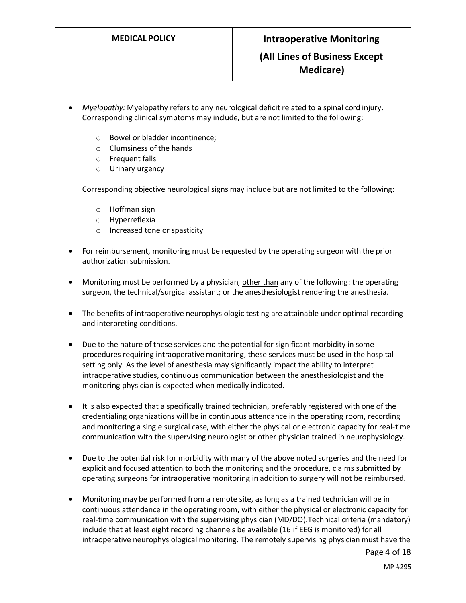- *Myelopathy:* Myelopathy refers to any neurological deficit related to a spinal cord injury. Corresponding clinical symptoms may include, but are not limited to the following:
	- o Bowel or bladder incontinence;
	- o Clumsiness of the hands
	- o Frequent falls
	- o Urinary urgency

Corresponding objective neurological signs may include but are not limited to the following:

- o Hoffman sign
- o Hyperreflexia
- o Increased tone or spasticity
- For reimbursement, monitoring must be requested by the operating surgeon with the prior authorization submission.
- Monitoring must be performed by a physician, other than any of the following: the operating surgeon, the technical/surgical assistant; or the anesthesiologist rendering the anesthesia.
- The benefits of intraoperative neurophysiologic testing are attainable under optimal recording and interpreting conditions.
- Due to the nature of these services and the potential for significant morbidity in some procedures requiring intraoperative monitoring, these services must be used in the hospital setting only. As the level of anesthesia may significantly impact the ability to interpret intraoperative studies, continuous communication between the anesthesiologist and the monitoring physician is expected when medically indicated.
- It is also expected that a specifically trained technician, preferably registered with one of the credentialing organizations will be in continuous attendance in the operating room, recording and monitoring a single surgical case, with either the physical or electronic capacity for real-time communication with the supervising neurologist or other physician trained in neurophysiology.
- Due to the potential risk for morbidity with many of the above noted surgeries and the need for explicit and focused attention to both the monitoring and the procedure, claims submitted by operating surgeons for intraoperative monitoring in addition to surgery will not be reimbursed.
- Monitoring may be performed from a remote site, as long as a trained technician will be in continuous attendance in the operating room, with either the physical or electronic capacity for real-time communication with the supervising physician (MD/DO).Technical criteria (mandatory) include that at least eight recording channels be available (16 if EEG is monitored) for all intraoperative neurophysiological monitoring. The remotely supervising physician must have the

Page 4 of 18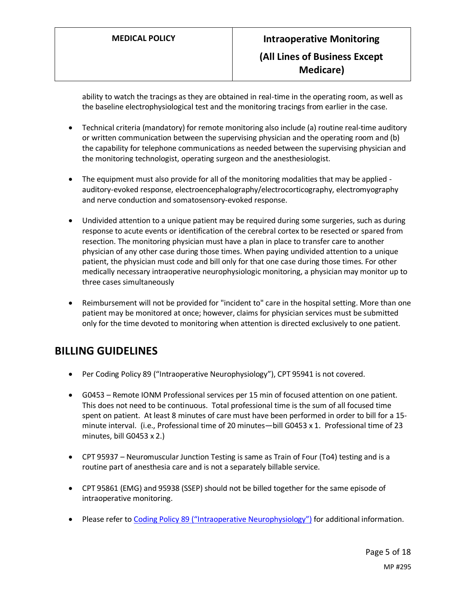ability to watch the tracings as they are obtained in real-time in the operating room, as well as the baseline electrophysiological test and the monitoring tracings from earlier in the case.

- Technical criteria (mandatory) for remote monitoring also include (a) routine real-time auditory or written communication between the supervising physician and the operating room and (b) the capability for telephone communications as needed between the supervising physician and the monitoring technologist, operating surgeon and the anesthesiologist.
- The equipment must also provide for all of the monitoring modalities that may be applied auditory-evoked response, electroencephalography/electrocorticography, electromyography and nerve conduction and somatosensory-evoked response.
- Undivided attention to a unique patient may be required during some surgeries, such as during response to acute events or identification of the cerebral cortex to be resected or spared from resection. The monitoring physician must have a plan in place to transfer care to another physician of any other case during those times. When paying undivided attention to a unique patient, the physician must code and bill only for that one case during those times. For other medically necessary intraoperative neurophysiologic monitoring, a physician may monitor up to three cases simultaneously
- Reimbursement will not be provided for "incident to" care in the hospital setting. More than one patient may be monitored at once; however, claims for physician services must be submitted only for the time devoted to monitoring when attention is directed exclusively to one patient.

# **BILLING GUIDELINES**

- Per Coding Policy 89 ("Intraoperative Neurophysiology"), CPT 95941 is not covered.
- G0453 Remote IONM Professional services per 15 min of focused attention on one patient. This does not need to be continuous. Total professional time is the sum of all focused time spent on patient. At least 8 minutes of care must have been performed in order to bill for a 15 minute interval. (i.e., Professional time of 20 minutes—bill G0453 x 1. Professional time of 23 minutes, bill G0453 x 2.)
- CPT 95937 Neuromuscular Junction Testing is same as Train of Four (To4) testing and is a routine part of anesthesia care and is not a separately billable service.
- CPT 95861 (EMG) and 95938 (SSEP) should not be billed together for the same episode of intraoperative monitoring.
- Please refer to [Coding Policy 89 \("Intraoperative Ne](https://www.providencehealthplan.com/-/media/providence/website/pdfs/providers/medical-policy-and-provider-information/billing-payment-and-coding-policies/php_coding_89.pdf?sc_lang=en&rev=2687806b1761443da2a8ef3cb52b7707&hash=5BBADE8EF298A628B8C63FB03E1980BE)urophysiology") for additional information.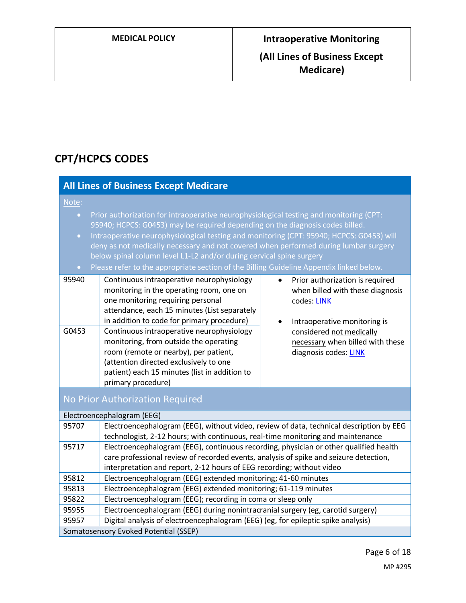# **CPT/HCPCS CODES**

|                                                                                                                                                                                                                                                                                                                                                                                                                                                                                                                                                                                | <b>All Lines of Business Except Medicare</b>                                                                                                                                                                                                                                                                                                                |  |  |  |  |
|--------------------------------------------------------------------------------------------------------------------------------------------------------------------------------------------------------------------------------------------------------------------------------------------------------------------------------------------------------------------------------------------------------------------------------------------------------------------------------------------------------------------------------------------------------------------------------|-------------------------------------------------------------------------------------------------------------------------------------------------------------------------------------------------------------------------------------------------------------------------------------------------------------------------------------------------------------|--|--|--|--|
| Note:<br>Prior authorization for intraoperative neurophysiological testing and monitoring (CPT:<br>$\bullet$<br>95940; HCPCS: G0453) may be required depending on the diagnosis codes billed.<br>Intraoperative neurophysiological testing and monitoring (CPT: 95940; HCPCS: G0453) will<br>$\bullet$<br>deny as not medically necessary and not covered when performed during lumbar surgery<br>below spinal column level L1-L2 and/or during cervical spine surgery<br>Please refer to the appropriate section of the Billing Guideline Appendix linked below.<br>$\bullet$ |                                                                                                                                                                                                                                                                                                                                                             |  |  |  |  |
| 95940                                                                                                                                                                                                                                                                                                                                                                                                                                                                                                                                                                          | Continuous intraoperative neurophysiology<br>Prior authorization is required<br>$\bullet$<br>monitoring in the operating room, one on<br>when billed with these diagnosis<br>one monitoring requiring personal<br>codes: LINK<br>attendance, each 15 minutes (List separately<br>in addition to code for primary procedure)<br>Intraoperative monitoring is |  |  |  |  |
| G0453                                                                                                                                                                                                                                                                                                                                                                                                                                                                                                                                                                          | Continuous intraoperative neurophysiology<br>considered not medically<br>monitoring, from outside the operating<br>necessary when billed with these<br>room (remote or nearby), per patient,<br>diagnosis codes: LINK<br>(attention directed exclusively to one<br>patient) each 15 minutes (list in addition to<br>primary procedure)                      |  |  |  |  |
|                                                                                                                                                                                                                                                                                                                                                                                                                                                                                                                                                                                | No Prior Authorization Required                                                                                                                                                                                                                                                                                                                             |  |  |  |  |
|                                                                                                                                                                                                                                                                                                                                                                                                                                                                                                                                                                                | Electroencephalogram (EEG)                                                                                                                                                                                                                                                                                                                                  |  |  |  |  |
| 95707                                                                                                                                                                                                                                                                                                                                                                                                                                                                                                                                                                          | Electroencephalogram (EEG), without video, review of data, technical description by EEG<br>technologist, 2-12 hours; with continuous, real-time monitoring and maintenance                                                                                                                                                                                  |  |  |  |  |
| 95717                                                                                                                                                                                                                                                                                                                                                                                                                                                                                                                                                                          | Electroencephalogram (EEG), continuous recording, physician or other qualified health<br>care professional review of recorded events, analysis of spike and seizure detection,<br>interpretation and report, 2-12 hours of EEG recording; without video                                                                                                     |  |  |  |  |
| 95812                                                                                                                                                                                                                                                                                                                                                                                                                                                                                                                                                                          | Electroencephalogram (EEG) extended monitoring; 41-60 minutes                                                                                                                                                                                                                                                                                               |  |  |  |  |
| 95813                                                                                                                                                                                                                                                                                                                                                                                                                                                                                                                                                                          | Electroencephalogram (EEG) extended monitoring; 61-119 minutes                                                                                                                                                                                                                                                                                              |  |  |  |  |
| 95822                                                                                                                                                                                                                                                                                                                                                                                                                                                                                                                                                                          | Electroencephalogram (EEG); recording in coma or sleep only                                                                                                                                                                                                                                                                                                 |  |  |  |  |
| 95955                                                                                                                                                                                                                                                                                                                                                                                                                                                                                                                                                                          | Electroencephalogram (EEG) during nonintracranial surgery (eg, carotid surgery)                                                                                                                                                                                                                                                                             |  |  |  |  |
| 95957                                                                                                                                                                                                                                                                                                                                                                                                                                                                                                                                                                          | Digital analysis of electroencephalogram (EEG) (eg, for epileptic spike analysis)                                                                                                                                                                                                                                                                           |  |  |  |  |
|                                                                                                                                                                                                                                                                                                                                                                                                                                                                                                                                                                                | Somatosensory Evoked Potential (SSEP)                                                                                                                                                                                                                                                                                                                       |  |  |  |  |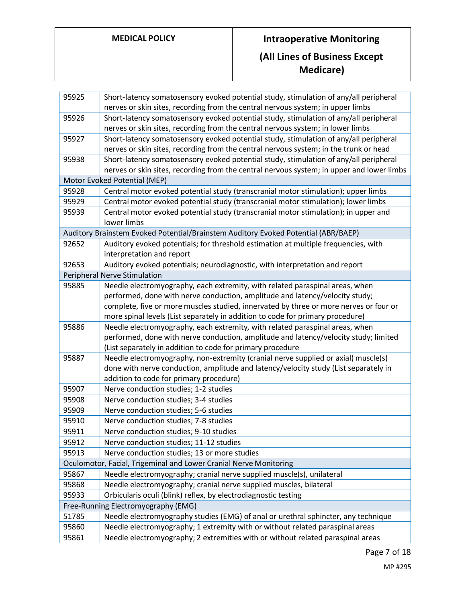# **MEDICAL POLICY Intraoperative Monitoring (All Lines of Business Except Medicare)**

| 95925 | Short-latency somatosensory evoked potential study, stimulation of any/all peripheral<br>nerves or skin sites, recording from the central nervous system; in upper limbs       |
|-------|--------------------------------------------------------------------------------------------------------------------------------------------------------------------------------|
| 95926 | Short-latency somatosensory evoked potential study, stimulation of any/all peripheral                                                                                          |
|       | nerves or skin sites, recording from the central nervous system; in lower limbs                                                                                                |
| 95927 | Short-latency somatosensory evoked potential study, stimulation of any/all peripheral<br>nerves or skin sites, recording from the central nervous system; in the trunk or head |
| 95938 | Short-latency somatosensory evoked potential study, stimulation of any/all peripheral                                                                                          |
|       | nerves or skin sites, recording from the central nervous system; in upper and lower limbs                                                                                      |
|       | Motor Evoked Potential (MEP)                                                                                                                                                   |
| 95928 | Central motor evoked potential study (transcranial motor stimulation); upper limbs                                                                                             |
| 95929 | Central motor evoked potential study (transcranial motor stimulation); lower limbs                                                                                             |
| 95939 | Central motor evoked potential study (transcranial motor stimulation); in upper and                                                                                            |
|       | lower limbs                                                                                                                                                                    |
|       | Auditory Brainstem Evoked Potential/Brainstem Auditory Evoked Potential (ABR/BAEP)                                                                                             |
| 92652 | Auditory evoked potentials; for threshold estimation at multiple frequencies, with<br>interpretation and report                                                                |
| 92653 | Auditory evoked potentials; neurodiagnostic, with interpretation and report                                                                                                    |
|       | Peripheral Nerve Stimulation                                                                                                                                                   |
| 95885 | Needle electromyography, each extremity, with related paraspinal areas, when                                                                                                   |
|       | performed, done with nerve conduction, amplitude and latency/velocity study;                                                                                                   |
|       | complete, five or more muscles studied, innervated by three or more nerves or four or                                                                                          |
|       | more spinal levels (List separately in addition to code for primary procedure)                                                                                                 |
| 95886 | Needle electromyography, each extremity, with related paraspinal areas, when                                                                                                   |
|       | performed, done with nerve conduction, amplitude and latency/velocity study; limited                                                                                           |
|       | (List separately in addition to code for primary procedure                                                                                                                     |
| 95887 | Needle electromyography, non-extremity (cranial nerve supplied or axial) muscle(s)                                                                                             |
|       | done with nerve conduction, amplitude and latency/velocity study (List separately in                                                                                           |
|       | addition to code for primary procedure)                                                                                                                                        |
| 95907 | Nerve conduction studies; 1-2 studies                                                                                                                                          |
| 95908 | Nerve conduction studies; 3-4 studies                                                                                                                                          |
| 95909 | Nerve conduction studies; 5-6 studies                                                                                                                                          |
| 95910 | Nerve conduction studies; 7-8 studies                                                                                                                                          |
| 95911 | Nerve conduction studies; 9-10 studies                                                                                                                                         |
| 95912 | Nerve conduction studies; 11-12 studies                                                                                                                                        |
| 95913 | Nerve conduction studies; 13 or more studies                                                                                                                                   |
|       | Oculomotor, Facial, Trigeminal and Lower Cranial Nerve Monitoring                                                                                                              |
| 95867 | Needle electromyography; cranial nerve supplied muscle(s), unilateral                                                                                                          |
| 95868 | Needle electromyography; cranial nerve supplied muscles, bilateral                                                                                                             |
| 95933 | Orbicularis oculi (blink) reflex, by electrodiagnostic testing                                                                                                                 |
|       | Free-Running Electromyography (EMG)                                                                                                                                            |
| 51785 | Needle electromyography studies (EMG) of anal or urethral sphincter, any technique                                                                                             |
| 95860 | Needle electromyography; 1 extremity with or without related paraspinal areas                                                                                                  |
| 95861 | Needle electromyography; 2 extremities with or without related paraspinal areas                                                                                                |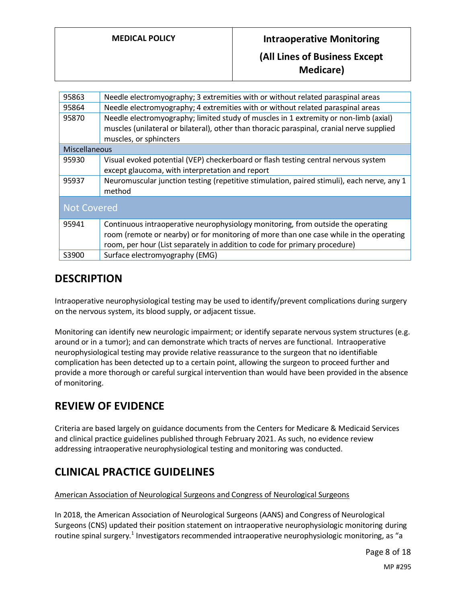# **DESCRIPTION**

Intraoperative neurophysiological testing may be used to identify/prevent complications during surgery on the nervous system, its blood supply, or adjacent tissue.

Monitoring can identify new neurologic impairment; or identify separate nervous system structures (e.g. around or in a tumor); and can demonstrate which tracts of nerves are functional. Intraoperative neurophysiological testing may provide relative reassurance to the surgeon that no identifiable complication has been detected up to a certain point, allowing the surgeon to proceed further and provide a more thorough or careful surgical intervention than would have been provided in the absence of monitoring.

# **REVIEW OF EVIDENCE**

Criteria are based largely on guidance documents from the Centers for Medicare & Medicaid Services and clinical practice guidelines published through February 2021. As such, no evidence review addressing intraoperative neurophysiological testing and monitoring was conducted.

# **CLINICAL PRACTICE GUIDELINES**

### American Association of Neurological Surgeons and Congress of Neurological Surgeons

In 2018, the American Association of Neurological Surgeons (AANS) and Congress of Neurological Surgeons (CNS) updated their position statement on intraoperative neurophysiologic monitoring during routine spinal surgery.<sup>1</sup> Investigators recommended intraoperative neurophysiologic monitoring, as "a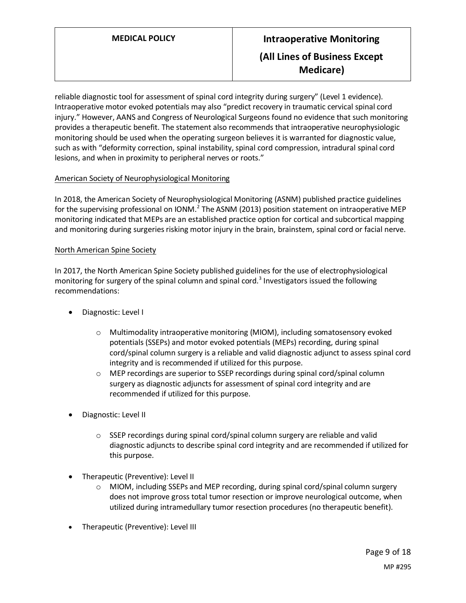reliable diagnostic tool for assessment of spinal cord integrity during surgery" (Level 1 evidence). Intraoperative motor evoked potentials may also "predict recovery in traumatic cervical spinal cord injury." However, AANS and Congress of Neurological Surgeons found no evidence that such monitoring provides a therapeutic benefit. The statement also recommends that intraoperative neurophysiologic monitoring should be used when the operating surgeon believes it is warranted for diagnostic value, such as with "deformity correction, spinal instability, spinal cord compression, intradural spinal cord lesions, and when in proximity to peripheral nerves or roots."

### American Society of Neurophysiological Monitoring

In 2018, the American Society of Neurophysiological Monitoring (ASNM) published practice guidelines for the supervising professional on IONM.<sup>2</sup> The ASNM (2013) position statement on intraoperative MEP monitoring indicated that MEPs are an established practice option for cortical and subcortical mapping and monitoring during surgeries risking motor injury in the brain, brainstem, spinal cord or facial nerve.

#### North American Spine Society

In 2017, the North American Spine Society published guidelines for the use of electrophysiological monitoring for surgery of the spinal column and spinal cord.<sup>3</sup> Investigators issued the following recommendations:

- Diagnostic: Level I
	- o Multimodality intraoperative monitoring (MIOM), including somatosensory evoked potentials (SSEPs) and motor evoked potentials (MEPs) recording, during spinal cord/spinal column surgery is a reliable and valid diagnostic adjunct to assess spinal cord integrity and is recommended if utilized for this purpose.
	- $\circ$  MEP recordings are superior to SSEP recordings during spinal cord/spinal column surgery as diagnostic adjuncts for assessment of spinal cord integrity and are recommended if utilized for this purpose.
- Diagnostic: Level II
	- o SSEP recordings during spinal cord/spinal column surgery are reliable and valid diagnostic adjuncts to describe spinal cord integrity and are recommended if utilized for this purpose.
- Therapeutic (Preventive): Level II
	- o MIOM, including SSEPs and MEP recording, during spinal cord/spinal column surgery does not improve gross total tumor resection or improve neurological outcome, when utilized during intramedullary tumor resection procedures (no therapeutic benefit).
- Therapeutic (Preventive): Level III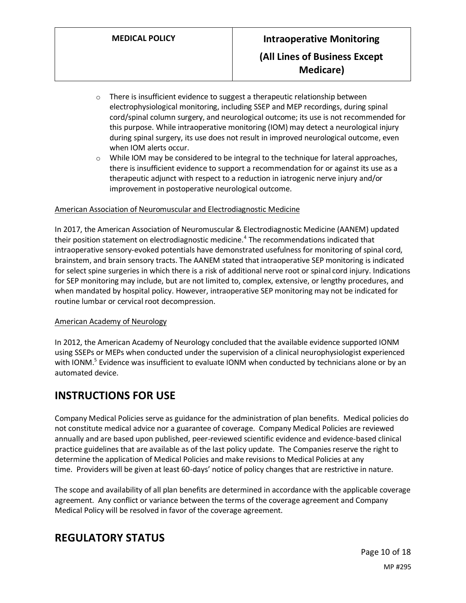- $\circ$  There is insufficient evidence to suggest a therapeutic relationship between electrophysiological monitoring, including SSEP and MEP recordings, during spinal cord/spinal column surgery, and neurological outcome; its use is not recommended for this purpose. While intraoperative monitoring (IOM) may detect a neurological injury during spinal surgery, its use does not result in improved neurological outcome, even when IOM alerts occur.
- $\circ$  While IOM may be considered to be integral to the technique for lateral approaches, there is insufficient evidence to support a recommendation for or against its use as a therapeutic adjunct with respect to a reduction in iatrogenic nerve injury and/or improvement in postoperative neurological outcome.

### American Association of Neuromuscular and Electrodiagnostic Medicine

In 2017, the American Association of Neuromuscular & Electrodiagnostic Medicine (AANEM) updated their position statement on electrodiagnostic medicine.<sup>4</sup> The recommendations indicated that intraoperative sensory-evoked potentials have demonstrated usefulness for monitoring of spinal cord, brainstem, and brain sensory tracts. The AANEM stated that intraoperative SEP monitoring is indicated for select spine surgeries in which there is a risk of additional nerve root or spinal cord injury. Indications for SEP monitoring may include, but are not limited to, complex, extensive, or lengthy procedures, and when mandated by hospital policy. However, intraoperative SEP monitoring may not be indicated for routine lumbar or cervical root decompression.

#### American Academy of Neurology

In 2012, the American Academy of Neurology concluded that the available evidence supported IONM using SSEPs or MEPs when conducted under the supervision of a clinical neurophysiologist experienced with IONM.<sup>5</sup> Evidence was insufficient to evaluate IONM when conducted by technicians alone or by an automated device.

# <span id="page-9-0"></span>**INSTRUCTIONS FOR USE**

Company Medical Policies serve as guidance for the administration of plan benefits. Medical policies do not constitute medical advice nor a guarantee of coverage. Company Medical Policies are reviewed annually and are based upon published, peer-reviewed scientific evidence and evidence-based clinical practice guidelines that are available as of the last policy update. The Companies reserve the right to determine the application of Medical Policies and make revisions to Medical Policies at any time. Providers will be given at least 60-days' notice of policy changes that are restrictive in nature.

The scope and availability of all plan benefits are determined in accordance with the applicable coverage agreement. Any conflict or variance between the terms of the coverage agreement and Company Medical Policy will be resolved in favor of the coverage agreement.

# **REGULATORY STATUS**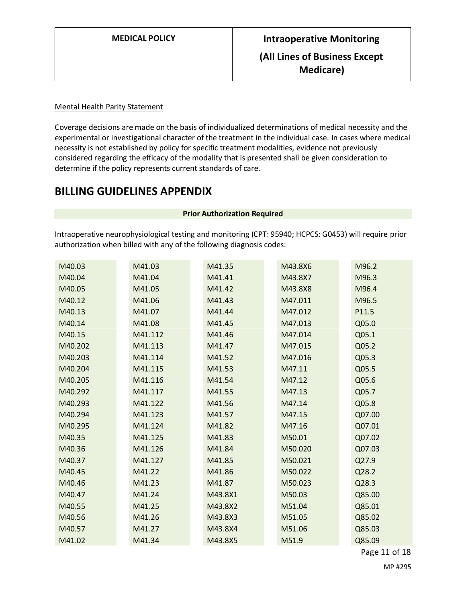### Mental Health Parity Statement

Coverage decisions are made on the basis of individualized determinations of medical necessity and the experimental or investigational character of the treatment in the individual case. In cases where medical necessity is not established by policy for specific treatment modalities, evidence not previously considered regarding the efficacy of the modality that is presented shall be given consideration to determine if the policy represents current standards of care.

### **BILLING GUIDELINES APPENDIX**

#### **Prior Authorization Required**

<span id="page-10-0"></span>Intraoperative neurophysiological testing and monitoring (CPT: 95940; HCPCS: G0453) will require prior authorization when billed with any of the following diagnosis codes:

| M40.03  | M41.03  | M41.35  | M43.8X6 | M96.2  |
|---------|---------|---------|---------|--------|
| M40.04  | M41.04  | M41.41  | M43.8X7 | M96.3  |
| M40.05  | M41.05  | M41.42  | M43.8X8 | M96.4  |
| M40.12  | M41.06  | M41.43  | M47.011 | M96.5  |
| M40.13  | M41.07  | M41.44  | M47.012 | P11.5  |
| M40.14  | M41.08  | M41.45  | M47.013 | Q05.0  |
| M40.15  | M41.112 | M41.46  | M47.014 | Q05.1  |
| M40.202 | M41.113 | M41.47  | M47.015 | Q05.2  |
| M40.203 | M41.114 | M41.52  | M47.016 | Q05.3  |
| M40.204 | M41.115 | M41.53  | M47.11  | Q05.5  |
| M40.205 | M41.116 | M41.54  | M47.12  | Q05.6  |
| M40.292 | M41.117 | M41.55  | M47.13  | Q05.7  |
| M40.293 | M41.122 | M41.56  | M47.14  | Q05.8  |
| M40.294 | M41.123 | M41.57  | M47.15  | Q07.00 |
| M40.295 | M41.124 | M41.82  | M47.16  | Q07.01 |
| M40.35  | M41.125 | M41.83  | M50.01  | Q07.02 |
| M40.36  | M41.126 | M41.84  | M50.020 | Q07.03 |
| M40.37  | M41.127 | M41.85  | M50.021 | Q27.9  |
| M40.45  | M41.22  | M41.86  | M50.022 | Q28.2  |
| M40.46  | M41.23  | M41.87  | M50.023 | Q28.3  |
| M40.47  | M41.24  | M43.8X1 | M50.03  | Q85.00 |
| M40.55  | M41.25  | M43.8X2 | M51.04  | Q85.01 |
| M40.56  | M41.26  | M43.8X3 | M51.05  | Q85.02 |
| M40.57  | M41.27  | M43.8X4 | M51.06  | Q85.03 |
| M41.02  | M41.34  | M43.8X5 | M51.9   | Q85.09 |

Page 11 of 18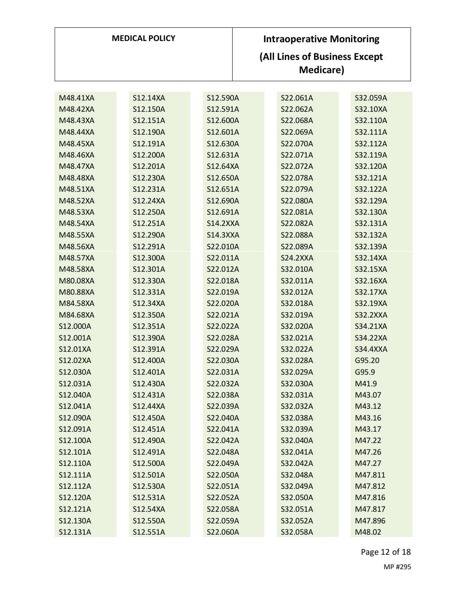| <b>MEDICAL POLICY</b> |          | <b>Intraoperative Monitoring</b><br>(All Lines of Business Except<br><b>Medicare</b> ) |                 |                 |
|-----------------------|----------|----------------------------------------------------------------------------------------|-----------------|-----------------|
| M48.41XA              | S12.14XA | S12.590A                                                                               | S22.061A        | S32.059A        |
| M48.42XA              | S12.150A | S12.591A                                                                               | S22.062A        | S32.10XA        |
| M48.43XA              | S12.151A | S12.600A                                                                               | S22.068A        | S32.110A        |
| M48.44XA              | S12.190A | S12.601A                                                                               | S22.069A        | S32.111A        |
| M48.45XA              | S12.191A | S12.630A                                                                               | S22.070A        | S32.112A        |
| M48.46XA              | S12.200A | S12.631A                                                                               | S22.071A        | S32.119A        |
| M48.47XA              | S12.201A | S12.64XA                                                                               | S22.072A        | S32.120A        |
| M48.48XA              | S12.230A | S12.650A                                                                               | S22.078A        | S32.121A        |
| M48.51XA              | S12.231A | S12.651A                                                                               | S22.079A        | S32.122A        |
| M48.52XA              | S12.24XA | S12.690A                                                                               | S22.080A        | S32.129A        |
| M48.53XA              | S12.250A | S12.691A                                                                               | S22.081A        | S32.130A        |
| M48.54XA              | S12.251A | <b>S14.2XXA</b>                                                                        | S22.082A        | S32.131A        |
| M48.55XA              | S12.290A | <b>S14.3XXA</b>                                                                        | S22.088A        | S32.132A        |
| M48.56XA              | S12.291A | S22.010A                                                                               | S22.089A        | S32.139A        |
| M48.57XA              | S12.300A | S22.011A                                                                               | <b>S24.2XXA</b> | S32.14XA        |
| M48.58XA              | S12.301A | S22.012A                                                                               | S32.010A        | S32.15XA        |
| M80.08XA              | S12.330A | S22.018A                                                                               | S32.011A        | S32.16XA        |
| M80.88XA              | S12.331A | S22.019A                                                                               | S32.012A        | S32.17XA        |
| M84.58XA              | S12.34XA | S22.020A                                                                               | S32.018A        | S32.19XA        |
| M84.68XA              | S12.350A | S22.021A                                                                               | S32.019A        | <b>S32.2XXA</b> |
| S12.000A              | S12.351A | S22.022A                                                                               | S32.020A        | S34.21XA        |
| S12.001A              | S12.390A | S22.028A                                                                               | S32.021A        | S34.22XA        |
| S12.01XA              | S12.391A | S22.029A                                                                               | S32.022A        | <b>S34.4XXA</b> |
| S12.02XA              | S12.400A | S22.030A                                                                               | S32.028A        | G95.20          |
| S12.030A              | S12.401A | S22.031A                                                                               | S32.029A        | G95.9           |
| S12.031A              | S12.430A | S22.032A                                                                               | S32.030A        | M41.9           |
| S12.040A              | S12.431A | S22.038A                                                                               | S32.031A        | M43.07          |
| S12.041A              | S12.44XA | S22.039A                                                                               | S32.032A        | M43.12          |
| S12.090A              | S12.450A | S22.040A                                                                               | S32.038A        | M43.16          |
| S12.091A              | S12.451A | S22.041A                                                                               | S32.039A        | M43.17          |
| S12.100A              | S12.490A | S22.042A                                                                               | S32.040A        | M47.22          |
| S12.101A              | S12.491A | S22.048A                                                                               | S32.041A        | M47.26          |
| S12.110A              | S12.500A | S22.049A                                                                               | S32.042A        | M47.27          |
| S12.111A              | S12.501A | S22.050A                                                                               | S32.048A        | M47.811         |
| S12.112A              | S12.530A | S22.051A                                                                               | S32.049A        | M47.812         |
| S12.120A              | S12.531A | S22.052A                                                                               | S32.050A        | M47.816         |
| S12.121A              | S12.54XA | S22.058A                                                                               | S32.051A        | M47.817         |
| S12.130A              | S12.550A | S22.059A                                                                               | S32.052A        | M47.896         |
| S12.131A              | S12.551A | S22.060A                                                                               | S32.058A        | M48.02          |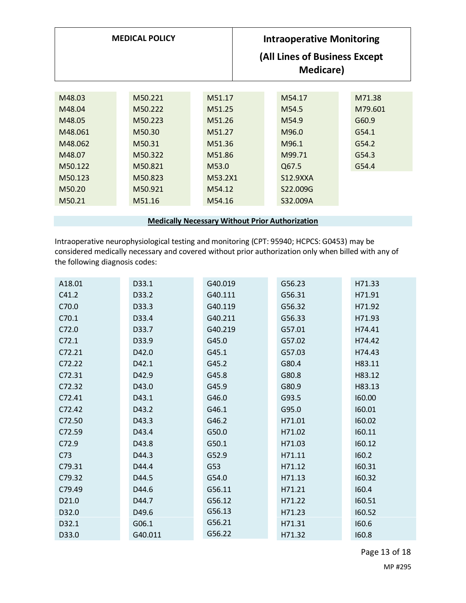| <b>MEDICAL POLICY</b> |         | <b>Intraoperative Monitoring</b><br>(All Lines of Business Except<br>Medicare) |                   |         |
|-----------------------|---------|--------------------------------------------------------------------------------|-------------------|---------|
| M48.03                | M50.221 | M51.17                                                                         | M54.17            | M71.38  |
|                       |         |                                                                                |                   |         |
| M48.04                | M50.222 | M51.25                                                                         | M <sub>54.5</sub> | M79.601 |
| M48.05                | M50.223 | M51.26                                                                         | M54.9             | G60.9   |
| M48.061               | M50.30  | M51.27                                                                         | M96.0             | G54.1   |
| M48.062               | M50.31  | M51.36                                                                         | M96.1             | G54.2   |
| M48.07                | M50.322 | M51.86                                                                         | M99.71            | G54.3   |
| M50.122               | M50.821 | M53.0                                                                          | Q67.5             | G54.4   |
| M50.123               | M50.823 | M53.2X1                                                                        | S12.9XXA          |         |
| M50.20                | M50.921 | M54.12                                                                         | S22.009G          |         |
| M50.21                | M51.16  | M54.16                                                                         | S32.009A          |         |
|                       |         |                                                                                |                   |         |

**Medically Necessary Without Prior Authorization**

Intraoperative neurophysiological testing and monitoring (CPT: 95940; HCPCS: G0453) may be considered medically necessary and covered without prior authorization only when billed with any of the following diagnosis codes:

| A18.01          | D33.1   | G40.019 | G56.23 | H71.33 |
|-----------------|---------|---------|--------|--------|
| C41.2           | D33.2   | G40.111 | G56.31 | H71.91 |
| C70.0           | D33.3   | G40.119 | G56.32 | H71.92 |
| C70.1           | D33.4   | G40.211 | G56.33 | H71.93 |
| C72.0           | D33.7   | G40.219 | G57.01 | H74.41 |
| C72.1           | D33.9   | G45.0   | G57.02 | H74.42 |
| C72.21          | D42.0   | G45.1   | G57.03 | H74.43 |
| C72.22          | D42.1   | G45.2   | G80.4  | H83.11 |
| C72.31          | D42.9   | G45.8   | G80.8  | H83.12 |
| C72.32          | D43.0   | G45.9   | G80.9  | H83.13 |
| C72.41          | D43.1   | G46.0   | G93.5  | 160.00 |
| C72.42          | D43.2   | G46.1   | G95.0  | 160.01 |
| C72.50          | D43.3   | G46.2   | H71.01 | 160.02 |
| C72.59          | D43.4   | G50.0   | H71.02 | 160.11 |
| C72.9           | D43.8   | G50.1   | H71.03 | 160.12 |
| C <sub>73</sub> | D44.3   | G52.9   | H71.11 | 160.2  |
| C79.31          | D44.4   | G53     | H71.12 | 160.31 |
| C79.32          | D44.5   | G54.0   | H71.13 | 160.32 |
| C79.49          | D44.6   | G56.11  | H71.21 | 160.4  |
| D21.0           | D44.7   | G56.12  | H71.22 | 160.51 |
| D32.0           | D49.6   | G56.13  | H71.23 | 160.52 |
| D32.1           | G06.1   | G56.21  | H71.31 | 160.6  |
| D33.0           | G40.011 | G56.22  | H71.32 | 160.8  |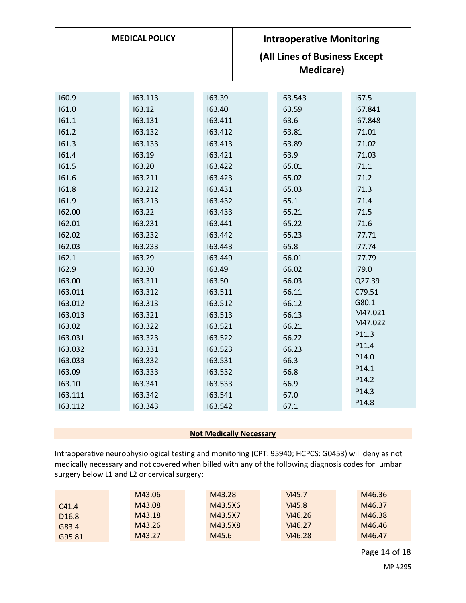| <b>MEDICAL POLICY</b>                                                                                                                                                                                            |                                                                                                                                                                                                                                          |                                                                                                                                                                                                                                            | <b>Intraoperative Monitoring</b><br>(All Lines of Business Except<br><b>Medicare)</b>                                                                                                                                 |                                                                                                                                                                                                                             |
|------------------------------------------------------------------------------------------------------------------------------------------------------------------------------------------------------------------|------------------------------------------------------------------------------------------------------------------------------------------------------------------------------------------------------------------------------------------|--------------------------------------------------------------------------------------------------------------------------------------------------------------------------------------------------------------------------------------------|-----------------------------------------------------------------------------------------------------------------------------------------------------------------------------------------------------------------------|-----------------------------------------------------------------------------------------------------------------------------------------------------------------------------------------------------------------------------|
| 160.9<br>161.0<br>161.1<br>161.2<br>161.3<br>161.4<br>161.5<br>161.6<br>161.8<br>161.9<br>162.00<br>162.01<br>162.02<br>162.03<br>162.1<br>162.9<br>163.00<br>163.011<br>163.012<br>163.013<br>163.02<br>163.031 | 163.113<br>163.12<br>163.131<br>163.132<br>163.133<br>163.19<br>163.20<br>163.211<br>163.212<br>163.213<br>163.22<br>163.231<br>163.232<br>163.233<br>163.29<br>163.30<br>163.311<br>163.312<br>163.313<br>163.321<br>163.322<br>163.323 | 163.39<br>163.40<br>163.411<br>163.412<br>163.413<br>163.421<br>163.422<br>163.423<br>163.431<br>163.432<br>163.433<br>163.441<br>163.442<br>163.443<br>163.449<br>163.49<br>163.50<br>163.511<br>163.512<br>163.513<br>163.521<br>163.522 | 163.543<br>163.59<br>163.6<br>163.81<br>163.89<br>163.9<br>165.01<br>165.02<br>165.03<br>165.1<br>165.21<br>165.22<br>165.23<br>165.8<br>166.01<br>166.02<br>166.03<br>166.11<br>166.12<br>166.13<br>166.21<br>166.22 | 167.5<br>167.841<br>167.848<br>171.01<br>171.02<br>171.03<br>171.1<br>171.2<br>171.3<br>171.4<br>171.5<br>171.6<br>177.71<br>177.74<br>177.79<br>179.0<br>Q27.39<br>C79.51<br>G80.1<br>M47.021<br>M47.022<br>P11.3<br>P11.4 |
| 163.032                                                                                                                                                                                                          | 163.331                                                                                                                                                                                                                                  | 163.523                                                                                                                                                                                                                                    | 166.23                                                                                                                                                                                                                | P14.0                                                                                                                                                                                                                       |
| 163.033                                                                                                                                                                                                          | 163.332                                                                                                                                                                                                                                  | 163.531                                                                                                                                                                                                                                    | 166.3                                                                                                                                                                                                                 | P14.1                                                                                                                                                                                                                       |
| 163.09                                                                                                                                                                                                           | 163.333                                                                                                                                                                                                                                  | 163.532                                                                                                                                                                                                                                    | 166.8                                                                                                                                                                                                                 | P <sub>14.2</sub>                                                                                                                                                                                                           |
| 163.10                                                                                                                                                                                                           | 163.341                                                                                                                                                                                                                                  | 163.533                                                                                                                                                                                                                                    | 166.9                                                                                                                                                                                                                 | P14.3                                                                                                                                                                                                                       |
| 163.111                                                                                                                                                                                                          | 163.342                                                                                                                                                                                                                                  | 163.541                                                                                                                                                                                                                                    | 167.0                                                                                                                                                                                                                 | P14.8                                                                                                                                                                                                                       |
| 163.112                                                                                                                                                                                                          | 163.343                                                                                                                                                                                                                                  | 163.542                                                                                                                                                                                                                                    | 167.1                                                                                                                                                                                                                 |                                                                                                                                                                                                                             |

### **Not Medically Necessary**

<span id="page-13-0"></span>Intraoperative neurophysiological testing and monitoring (CPT: 95940; HCPCS: G0453) will deny as not medically necessary and not covered when billed with any of the following diagnosis codes for lumbar surgery below L1 and L2 or cervical surgery:

|                   | M43.06 | M43.28  | M45.7  | M46.36 |
|-------------------|--------|---------|--------|--------|
| C41.4             | M43.08 | M43.5X6 | M45.8  | M46.37 |
| D <sub>16.8</sub> | M43.18 | M43.5X7 | M46.26 | M46.38 |
| G83.4             | M43.26 | M43.5X8 | M46.27 | M46.46 |
| G95.81            | M43.27 | M45.6   | M46.28 | M46.47 |

Page 14 of 18 MP #295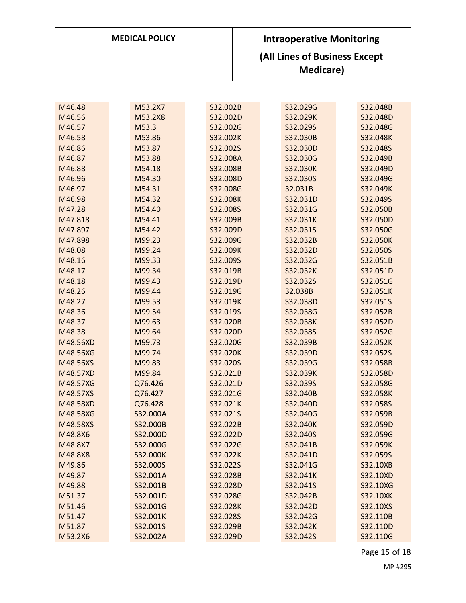| <b>MEDICAL POLICY</b> | <b>Intraoperative Monitoring</b>                   |
|-----------------------|----------------------------------------------------|
|                       | (All Lines of Business Except<br><b>Medicare</b> ) |

| M46.48   | M53.2X7  | S32.002B | S32.029G | S32.048B |
|----------|----------|----------|----------|----------|
| M46.56   | M53.2X8  | S32.002D | S32.029K | S32.048D |
| M46.57   | M53.3    | S32.002G | S32.029S | S32.048G |
| M46.58   | M53.86   | S32.002K | S32.030B | S32.048K |
| M46.86   | M53.87   | S32.002S | S32.030D | S32.048S |
| M46.87   | M53.88   | S32.008A | S32.030G | S32.049B |
| M46.88   | M54.18   | S32.008B | S32.030K | S32.049D |
| M46.96   | M54.30   | S32.008D | S32.030S | S32.049G |
| M46.97   | M54.31   | S32.008G | 32.031B  | S32.049K |
| M46.98   | M54.32   | S32.008K | S32.031D | S32.049S |
| M47.28   | M54.40   | S32.008S | S32.031G | S32.050B |
| M47.818  | M54.41   | S32.009B | S32.031K | S32.050D |
| M47.897  | M54.42   | S32.009D | S32.031S | S32.050G |
| M47.898  | M99.23   | S32.009G | S32.032B | S32.050K |
| M48.08   | M99.24   | S32.009K | S32.032D | S32.050S |
| M48.16   | M99.33   | S32.009S | S32.032G | S32.051B |
| M48.17   | M99.34   | S32.019B | S32.032K | S32.051D |
| M48.18   | M99.43   | S32.019D | S32.032S | S32.051G |
| M48.26   | M99.44   | S32.019G | 32.038B  | S32.051K |
| M48.27   | M99.53   | S32.019K | S32.038D | S32.051S |
| M48.36   | M99.54   | S32.019S | S32.038G | S32.052B |
| M48.37   | M99.63   | S32.020B | S32.038K | S32.052D |
| M48.38   | M99.64   | S32.020D | S32.038S | S32.052G |
| M48.56XD | M99.73   | S32.020G | S32.039B | S32.052K |
| M48.56XG | M99.74   | S32.020K | S32.039D | S32.052S |
| M48.56XS | M99.83   | S32.020S | S32.039G | S32.058B |
| M48.57XD | M99.84   | S32.021B | S32.039K | S32.058D |
| M48.57XG | Q76.426  | S32.021D | S32.039S | S32.058G |
| M48.57XS | Q76.427  | S32.021G | S32.040B | S32.058K |
| M48.58XD | Q76.428  | S32.021K | S32.040D | S32.058S |
| M48.58XG | S32.000A | S32.021S | S32.040G | S32.059B |
| M48.58XS | S32.000B | S32.022B | S32.040K | S32.059D |
| M48.8X6  | S32.000D | S32.022D | S32.040S | S32.059G |
| M48.8X7  | S32.000G | S32.022G | S32.041B | S32.059K |
| M48.8X8  | S32.000K | S32.022K | S32.041D | S32.059S |
| M49.86   | S32.000S | S32.022S | S32.041G | S32.10XB |
| M49.87   | S32.001A | S32.028B | S32.041K | S32.10XD |
| M49.88   | S32.001B | S32.028D | S32.041S | S32.10XG |
| M51.37   | S32.001D | S32.028G | S32.042B | S32.10XK |
| M51.46   | S32.001G | S32.028K | S32.042D | S32.10XS |
| M51.47   | S32.001K | S32.028S | S32.042G | S32.110B |
| M51.87   | S32.001S | S32.029B | S32.042K | S32.110D |
| M53.2X6  | S32.002A | S32.029D | S32.042S | S32.110G |

Page 15 of 18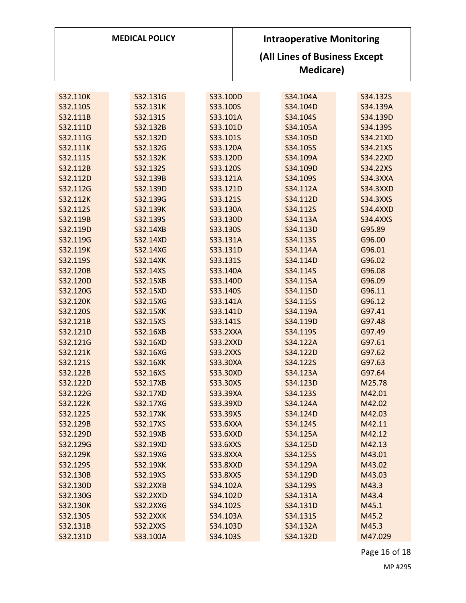| <b>MEDICAL POLICY</b> |                 |                 | <b>Intraoperative Monitoring</b><br>(All Lines of Business Except<br>Medicare) |  |          |  |                 |
|-----------------------|-----------------|-----------------|--------------------------------------------------------------------------------|--|----------|--|-----------------|
|                       |                 |                 |                                                                                |  |          |  |                 |
| S32.110K              | S32.131G        | S33.100D        |                                                                                |  | S34.104A |  | S34.132S        |
| S32.110S              | S32.131K        | S33.100S        |                                                                                |  | S34.104D |  | S34.139A        |
| S32.111B              | S32.131S        | S33.101A        |                                                                                |  | S34.104S |  | S34.139D        |
| S32.111D              | S32.132B        | S33.101D        |                                                                                |  | S34.105A |  | S34.139S        |
| S32.111G              | S32.132D        | S33.101S        |                                                                                |  | S34.105D |  | S34.21XD        |
| S32.111K              | S32.132G        | S33.120A        |                                                                                |  | S34.105S |  | S34.21XS        |
| S32.111S              | S32.132K        | S33.120D        |                                                                                |  | S34.109A |  | S34.22XD        |
| S32.112B              | S32.132S        | S33.120S        |                                                                                |  | S34.109D |  | S34.22XS        |
| S32.112D              | S32.139B        | S33.121A        |                                                                                |  | S34.109S |  | <b>S34.3XXA</b> |
| S32.112G              | S32.139D        | S33.121D        |                                                                                |  | S34.112A |  | <b>S34.3XXD</b> |
| S32.112K              | S32.139G        | S33.121S        |                                                                                |  | S34.112D |  | <b>S34.3XXS</b> |
| S32.112S              | S32.139K        | S33.130A        |                                                                                |  | S34.112S |  | <b>S34.4XXD</b> |
| S32.119B              | S32.139S        | S33.130D        |                                                                                |  | S34.113A |  | <b>S34.4XXS</b> |
| S32.119D              | S32.14XB        | S33.130S        |                                                                                |  | S34.113D |  | G95.89          |
| S32.119G              | S32.14XD        | S33.131A        |                                                                                |  | S34.113S |  | G96.00          |
| S32.119K              | S32.14XG        | S33.131D        |                                                                                |  | S34.114A |  | G96.01          |
| S32.119S              | S32.14XK        | S33.131S        |                                                                                |  | S34.114D |  | G96.02          |
| S32.120B              | S32.14XS        | S33.140A        |                                                                                |  | S34.114S |  | G96.08          |
| S32.120D              | S32.15XB        | S33.140D        |                                                                                |  | S34.115A |  | G96.09          |
| S32.120G              | S32.15XD        | S33.140S        |                                                                                |  | S34.115D |  | G96.11          |
| S32.120K              | S32.15XG        | S33.141A        |                                                                                |  | S34.115S |  | G96.12          |
| S32.120S              | S32.15XK        | S33.141D        |                                                                                |  | S34.119A |  | G97.41          |
| S32.121B              | S32.15XS        | S33.141S        |                                                                                |  | S34.119D |  | G97.48          |
| S32.121D              | S32.16XB        | <b>S33.2XXA</b> |                                                                                |  | S34.119S |  | G97.49          |
| S32.121G              | S32.16XD        | <b>S33.2XXD</b> |                                                                                |  | S34.122A |  | G97.61          |
| S32.121K              | S32.16XG        | <b>S33.2XXS</b> |                                                                                |  | S34.122D |  | G97.62          |
| S32.121S              | S32.16XK        | S33.30XA        |                                                                                |  | S34.122S |  | G97.63          |
| S32.122B              | S32.16XS        | S33.30XD        |                                                                                |  | S34.123A |  | G97.64          |
| S32.122D              | S32.17XB        | S33.30XS        |                                                                                |  | S34.123D |  | M25.78          |
| S32.122G              | S32.17XD        | S33.39XA        |                                                                                |  | S34.123S |  | M42.01          |
| S32.122K              | S32.17XG        | S33.39XD        |                                                                                |  | S34.124A |  | M42.02          |
| S32.122S              | <b>S32.17XK</b> | S33.39XS        |                                                                                |  | S34.124D |  | M42.03          |
| S32.129B              | S32.17XS        | <b>S33.6XXA</b> |                                                                                |  | S34.124S |  | M42.11          |
| S32.129D              | S32.19XB        | <b>S33.6XXD</b> |                                                                                |  | S34.125A |  | M42.12          |
| S32.129G              | S32.19XD        | <b>S33.6XXS</b> |                                                                                |  | S34.125D |  | M42.13          |
| S32.129K              | S32.19XG        | <b>S33.8XXA</b> |                                                                                |  | S34.125S |  | M43.01          |
| S32.129S              | S32.19XK        | <b>S33.8XXD</b> |                                                                                |  | S34.129A |  | M43.02          |
| S32.130B              | S32.19XS        | <b>S33.8XXS</b> |                                                                                |  | S34.129D |  | M43.03          |
| S32.130D              | <b>S32.2XXB</b> | S34.102A        |                                                                                |  | S34.129S |  | M43.3           |
| S32.130G              | <b>S32.2XXD</b> | S34.102D        |                                                                                |  | S34.131A |  | M43.4           |
| S32.130K              | <b>S32.2XXG</b> | S34.102S        |                                                                                |  | S34.131D |  | M45.1           |
| S32.130S              | <b>S32.2XXK</b> | S34.103A        |                                                                                |  | S34.131S |  | M45.2           |
| S32.131B              | <b>S32.2XXS</b> | S34.103D        |                                                                                |  | S34.132A |  | M45.3           |
| S32.131D              | S33.100A        | S34.103S        |                                                                                |  | S34.132D |  | M47.029         |

Page 16 of 18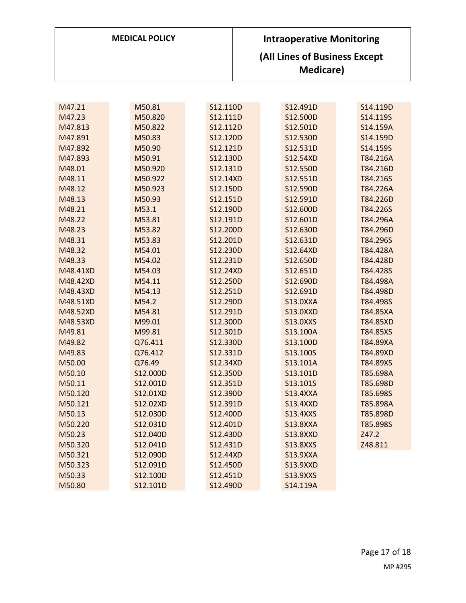| <b>MEDICAL POLICY</b> | <b>Intraoperative Monitoring</b>           |
|-----------------------|--------------------------------------------|
|                       | (All Lines of Business Except<br>Medicare) |

| M47.21   | M50.81   | S12.110D | S12.491D        | S14.119D |
|----------|----------|----------|-----------------|----------|
| M47.23   | M50.820  | S12.111D | S12.500D        | S14.119S |
| M47.813  | M50.822  | S12.112D | S12.501D        | S14.159A |
| M47.891  | M50.83   | S12.120D | S12.530D        | S14.159D |
| M47.892  | M50.90   | S12.121D | S12.531D        | S14.159S |
| M47.893  | M50.91   | S12.130D | S12.54XD        | T84.216A |
| M48.01   | M50.920  | S12.131D | S12.550D        | T84.216D |
| M48.11   | M50.922  | S12.14XD | S12.551D        | T84.216S |
| M48.12   | M50.923  | S12.150D | S12.590D        | T84.226A |
| M48.13   | M50.93   | S12.151D | S12.591D        | T84.226D |
| M48.21   | M53.1    | S12.190D | S12.600D        | T84.226S |
| M48.22   | M53.81   | S12.191D | S12.601D        | T84.296A |
| M48.23   | M53.82   | S12.200D | S12.630D        | T84.296D |
| M48.31   | M53.83   | S12.201D | S12.631D        | T84.296S |
| M48.32   | M54.01   | S12.230D | S12.64XD        | T84.428A |
| M48.33   | M54.02   | S12.231D | S12.650D        | T84.428D |
| M48.41XD | M54.03   | S12.24XD | S12.651D        | T84.428S |
| M48.42XD | M54.11   | S12.250D | S12.690D        | T84.498A |
| M48.43XD | M54.13   | S12.251D | S12.691D        | T84.498D |
| M48.51XD | M54.2    | S12.290D | <b>S13.0XXA</b> | T84.498S |
| M48.52XD | M54.81   | S12.291D | <b>S13.0XXD</b> | T84.85XA |
| M48.53XD | M99.01   | S12.300D | <b>S13.0XXS</b> | T84.85XD |
| M49.81   | M99.81   | S12.301D | S13.100A        | T84.85XS |
| M49.82   | Q76.411  | S12.330D | S13.100D        | T84.89XA |
| M49.83   | Q76.412  | S12.331D | S13.100S        | T84.89XD |
| M50.00   | Q76.49   | S12.34XD | S13.101A        | T84.89XS |
| M50.10   | S12.000D | S12.350D | S13.101D        | T85.698A |
| M50.11   | S12.001D | S12.351D | S13.101S        | T85.698D |
| M50.120  | S12.01XD | S12.390D | <b>S13.4XXA</b> | T85.698S |
| M50.121  | S12.02XD | S12.391D | <b>S13.4XXD</b> | T85.898A |
| M50.13   | S12.030D | S12.400D | <b>S13.4XXS</b> | T85.898D |
| M50.220  | S12.031D | S12.401D | <b>S13.8XXA</b> | T85.898S |
| M50.23   | S12.040D | S12.430D | <b>S13.8XXD</b> | Z47.2    |
| M50.320  | S12.041D | S12.431D | <b>S13.8XXS</b> | Z48.811  |
| M50.321  | S12.090D | S12.44XD | <b>S13.9XXA</b> |          |
| M50.323  | S12.091D | S12.450D | <b>S13.9XXD</b> |          |
| M50.33   | S12.100D | S12.451D | <b>S13.9XXS</b> |          |
| M50.80   | S12.101D | S12.490D | S14.119A        |          |